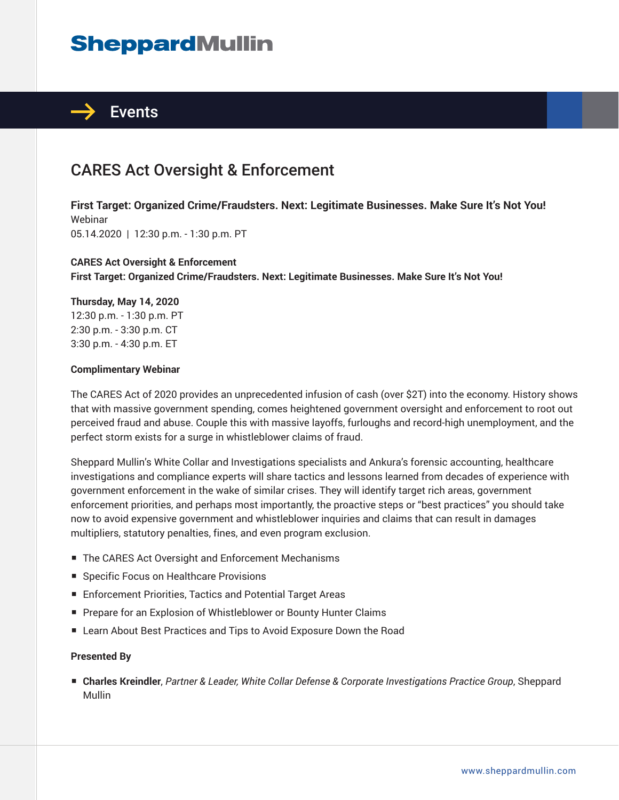# **SheppardMullin**



## CARES Act Oversight & Enforcement

**First Target: Organized Crime/Fraudsters. Next: Legitimate Businesses. Make Sure It's Not You!** Webinar 05.14.2020 | 12:30 p.m. - 1:30 p.m. PT

### **CARES Act Oversight & Enforcement First Target: Organized Crime/Fraudsters. Next: Legitimate Businesses. Make Sure It's Not You!**

#### **Thursday, May 14, 2020**

12:30 p.m. - 1:30 p.m. PT 2:30 p.m. - 3:30 p.m. CT 3:30 p.m. - 4:30 p.m. ET

#### **Complimentary Webinar**

The CARES Act of 2020 provides an unprecedented infusion of cash (over \$2T) into the economy. History shows that with massive government spending, comes heightened government oversight and enforcement to root out perceived fraud and abuse. Couple this with massive layoffs, furloughs and record-high unemployment, and the perfect storm exists for a surge in whistleblower claims of fraud.

Sheppard Mullin's White Collar and Investigations specialists and Ankura's forensic accounting, healthcare investigations and compliance experts will share tactics and lessons learned from decades of experience with government enforcement in the wake of similar crises. They will identify target rich areas, government enforcement priorities, and perhaps most importantly, the proactive steps or "best practices" you should take now to avoid expensive government and whistleblower inquiries and claims that can result in damages multipliers, statutory penalties, fines, and even program exclusion.

- The CARES Act Oversight and Enforcement Mechanisms
- Specific Focus on Healthcare Provisions
- Enforcement Priorities, Tactics and Potential Target Areas
- Prepare for an Explosion of Whistleblower or Bounty Hunter Claims
- Learn About Best Practices and Tips to Avoid Exposure Down the Road

### **Presented By**

■ **Charles Kreindler**, *Partner & Leader, White Collar Defense & Corporate Investigations Practice Group*, Sheppard Mullin